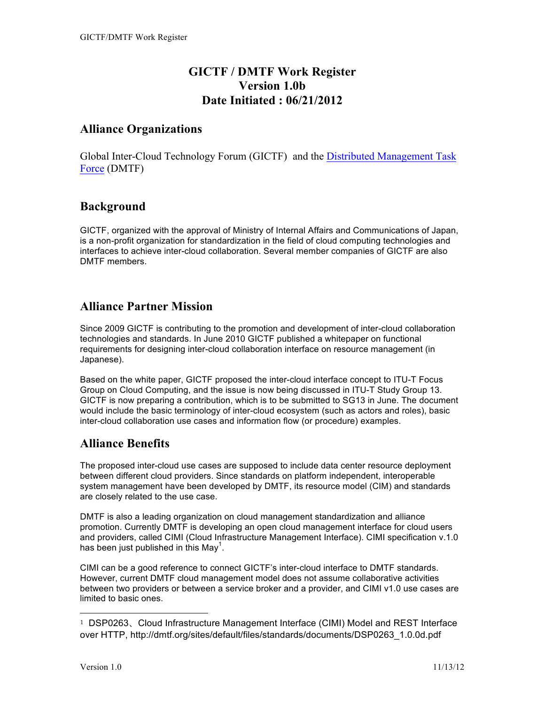# **GICTF / DMTF Work Register Version 1.0b Date Initiated : 06/21/2012**

### **Alliance Organizations**

Global Inter-Cloud Technology Forum (GICTF) and the Distributed Management Task Force (DMTF)

### **Background**

GICTF, organized with the approval of Ministry of Internal Affairs and Communications of Japan, is a non-profit organization for standardization in the field of cloud computing technologies and interfaces to achieve inter-cloud collaboration. Several member companies of GICTF are also DMTF members.

## **Alliance Partner Mission**

Since 2009 GICTF is contributing to the promotion and development of inter-cloud collaboration technologies and standards. In June 2010 GICTF published a whitepaper on functional requirements for designing inter-cloud collaboration interface on resource management (in Japanese).

Based on the white paper, GICTF proposed the inter-cloud interface concept to ITU-T Focus Group on Cloud Computing, and the issue is now being discussed in ITU-T Study Group 13. GICTF is now preparing a contribution, which is to be submitted to SG13 in June. The document would include the basic terminology of inter-cloud ecosystem (such as actors and roles), basic inter-cloud collaboration use cases and information flow (or procedure) examples.

## **Alliance Benefits**

The proposed inter-cloud use cases are supposed to include data center resource deployment between different cloud providers. Since standards on platform independent, interoperable system management have been developed by DMTF, its resource model (CIM) and standards are closely related to the use case.

DMTF is also a leading organization on cloud management standardization and alliance promotion. Currently DMTF is developing an open cloud management interface for cloud users and providers, called CIMI (Cloud Infrastructure Management Interface). CIMI specification v.1.0 has been just published in this May<sup>1</sup>.

CIMI can be a good reference to connect GICTF's inter-cloud interface to DMTF standards. However, current DMTF cloud management model does not assume collaborative activities between two providers or between a service broker and a provider, and CIMI v1.0 use cases are limited to basic ones.

 $\overline{a}$ 

<sup>1</sup> DSP0263、Cloud Infrastructure Management Interface (CIMI) Model and REST Interface over HTTP, http://dmtf.org/sites/default/files/standards/documents/DSP0263\_1.0.0d.pdf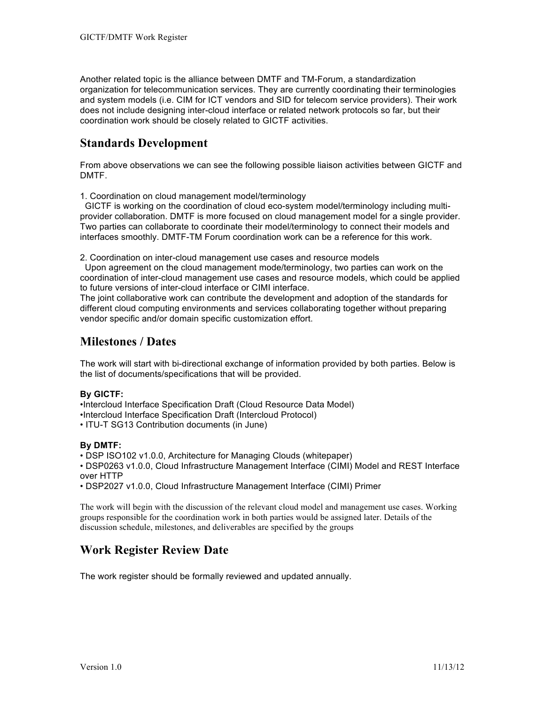Another related topic is the alliance between DMTF and TM-Forum, a standardization organization for telecommunication services. They are currently coordinating their terminologies and system models (i.e. CIM for ICT vendors and SID for telecom service providers). Their work does not include designing inter-cloud interface or related network protocols so far, but their coordination work should be closely related to GICTF activities.

# **Standards Development**

From above observations we can see the following possible liaison activities between GICTF and DMTF.

1. Coordination on cloud management model/terminology

 GICTF is working on the coordination of cloud eco-system model/terminology including multiprovider collaboration. DMTF is more focused on cloud management model for a single provider. Two parties can collaborate to coordinate their model/terminology to connect their models and interfaces smoothly. DMTF-TM Forum coordination work can be a reference for this work.

2. Coordination on inter-cloud management use cases and resource models

 Upon agreement on the cloud management mode/terminology, two parties can work on the coordination of inter-cloud management use cases and resource models, which could be applied to future versions of inter-cloud interface or CIMI interface.

The joint collaborative work can contribute the development and adoption of the standards for different cloud computing environments and services collaborating together without preparing vendor specific and/or domain specific customization effort.

## **Milestones / Dates**

The work will start with bi-directional exchange of information provided by both parties. Below is the list of documents/specifications that will be provided.

#### **By GICTF:**

•Intercloud Interface Specification Draft (Cloud Resource Data Model) •Intercloud Interface Specification Draft (Intercloud Protocol)

• ITU-T SG13 Contribution documents (in June)

#### **By DMTF:**

• DSP ISO102 v1.0.0, Architecture for Managing Clouds (whitepaper)

• DSP0263 v1.0.0, Cloud Infrastructure Management Interface (CIMI) Model and REST Interface over HTTP

• DSP2027 v1.0.0, Cloud Infrastructure Management Interface (CIMI) Primer

The work will begin with the discussion of the relevant cloud model and management use cases. Working groups responsible for the coordination work in both parties would be assigned later. Details of the discussion schedule, milestones, and deliverables are specified by the groups

## **Work Register Review Date**

The work register should be formally reviewed and updated annually.